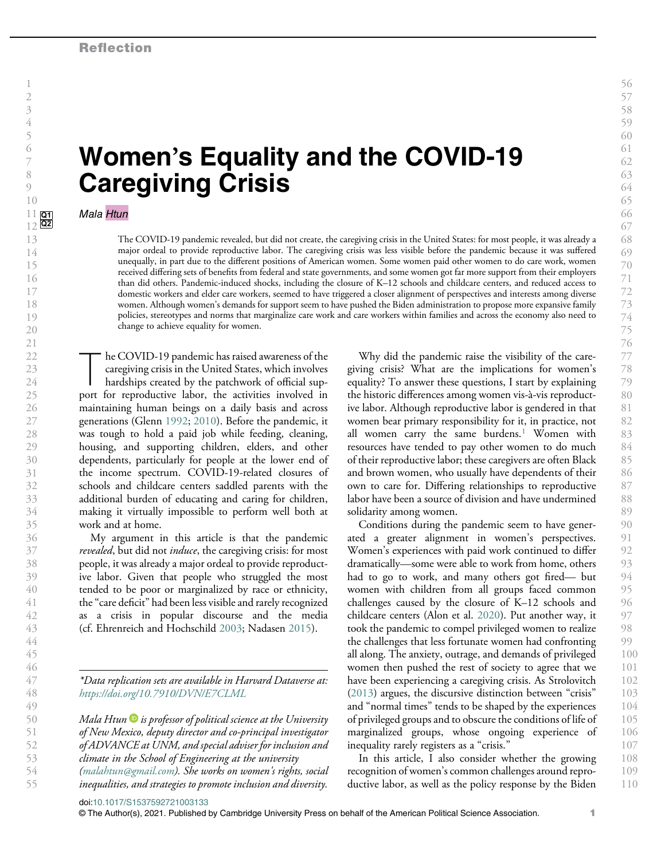# Women's Equality and the COVID-19 Caregiving Crisis

#### Mala Htun

 $\frac{11}{12}$  Q<sub>2</sub>

> The COVID-19 pandemic revealed, but did not create, the caregiving crisis in the United States: for most people, it was already a major ordeal to provide reproductive labor. The caregiving crisis was less visible before the pandemic because it was suffered unequally, in part due to the different positions of American women. Some women paid other women to do care work, women received differing sets of benefits from federal and state governments, and some women got far more support from their employers than did others. Pandemic-induced shocks, including the closure of K–12 schools and childcare centers, and reduced access to domestic workers and elder care workers, seemed to have triggered a closer alignment of perspectives and interests among diverse women. Although women's demands for support seem to have pushed the Biden administration to propose more expansive family policies, stereotypes and norms that marginalize care work and care workers within families and across the economy also need to change to achieve equality for women.

The COVID-19 pandemic has raised awareness of the<br>caregiving crisis in the United States, which involves<br>hardships created by the patchwork of official sup-<br>port for reproductive labor, the activities involved in caregiving crisis in the United States, which involves port for reproductive labor, the activities involved in maintaining human beings on a daily basis and across generations (Glenn 1992; 2010). Before the pandemic, it was tough to hold a paid job while feeding, cleaning, housing, and supporting children, elders, and other dependents, particularly for people at the lower end of the income spectrum. COVID-19-related closures of schools and childcare centers saddled parents with the additional burden of educating and caring for children, making it virtually impossible to perform well both at work and at home.

My argument in this article is that the pandemic revealed, but did not *induce*, the caregiving crisis: for most people, it was already a major ordeal to provide reproductive labor. Given that people who struggled the most tended to be poor or marginalized by race or ethnicity, the"care deficit" had been less visible and rarely recognized as a crisis in popular discourse and the media (cf. Ehrenreich and Hochschild 2003; Nadasen 2015).

\*Data replication sets are available in Harvard Dataverse at: https://doi.org/10.7910/DVN/E7CLML

Mala Htun  $\bullet$  is professor of political science at the University of New Mexico, deputy director and co-principal investigator of ADVANCE at UNM, and special adviser for inclusion and climate in the School of Engineering at the university (malahtun@gmail.com). She works on women's rights, social inequalities, and strategies to promote inclusion and diversity.

Why did the pandemic raise the visibility of the caregiving crisis? What are the implications for women's equality? To answer these questions, I start by explaining the historic differences among women vis-à-vis reproductive labor. Although reproductive labor is gendered in that women bear primary responsibility for it, in practice, not all women carry the same burdens.<sup>1</sup> Women with resources have tended to pay other women to do much of their reproductive labor; these caregivers are often Black and brown women, who usually have dependents of their own to care for. Differing relationships to reproductive labor have been a source of division and have undermined solidarity among women.

Conditions during the pandemic seem to have generated a greater alignment in women's perspectives. Women's experiences with paid work continued to differ dramatically—some were able to work from home, others had to go to work, and many others got fired— but women with children from all groups faced common challenges caused by the closure of K–12 schools and childcare centers (Alon et al. 2020). Put another way, it took the pandemic to compel privileged women to realize the challenges that less fortunate women had confronting all along. The anxiety, outrage, and demands of privileged women then pushed the rest of society to agree that we have been experiencing a caregiving crisis. As Strolovitch (2013) argues, the discursive distinction between "crisis" and "normal times" tends to be shaped by the experiences of privileged groups and to obscure the conditions of life of marginalized groups, whose ongoing experience of inequality rarely registers as a "crisis." 90 91 92 93 94 95 96 97 98 99 100 101 102 103 104 105 106 107

In this article, I also consider whether the growing recognition of women's common challenges around reproductive labor, as well as the policy response by the Biden 108 109 110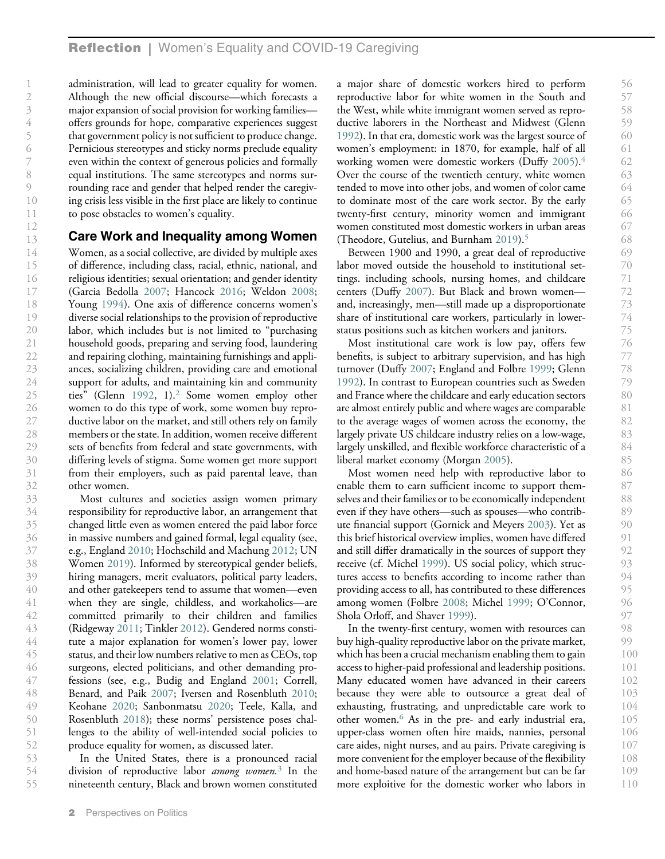administration, will lead to greater equality for women. Although the new official discourse—which forecasts a major expansion of social provision for working families offers grounds for hope, comparative experiences suggest that government policy is not sufficient to produce change. Pernicious stereotypes and sticky norms preclude equality even within the context of generous policies and formally equal institutions. The same stereotypes and norms surrounding race and gender that helped render the caregiving crisis less visible in the first place are likely to continue to pose obstacles to women's equality.

#### Care Work and Inequality among Women

Women, as a social collective, are divided by multiple axes of difference, including class, racial, ethnic, national, and religious identities; sexual orientation; and gender identity (Garcia Bedolla 2007; Hancock 2016; Weldon 2008; Young 1994). One axis of difference concerns women's diverse social relationships to the provision of reproductive labor, which includes but is not limited to "purchasing household goods, preparing and serving food, laundering and repairing clothing, maintaining furnishings and appliances, socializing children, providing care and emotional support for adults, and maintaining kin and community ties" (Glenn 1992, 1).<sup>2</sup> Some women employ other women to do this type of work, some women buy reproductive labor on the market, and still others rely on family members or the state. In addition, women receive different sets of benefits from federal and state governments, with differing levels of stigma. Some women get more support from their employers, such as paid parental leave, than other women.

Most cultures and societies assign women primary responsibility for reproductive labor, an arrangement that changed little even as women entered the paid labor force in massive numbers and gained formal, legal equality (see, e.g., England 2010; Hochschild and Machung 2012; UN Women 2019). Informed by stereotypical gender beliefs, hiring managers, merit evaluators, political party leaders, and other gatekeepers tend to assume that women—even when they are single, childless, and workaholics—are committed primarily to their children and families (Ridgeway 2011; Tinkler 2012). Gendered norms constitute a major explanation for women's lower pay, lower status, and their low numbers relative to men as CEOs, top surgeons, elected politicians, and other demanding professions (see, e.g., Budig and England 2001; Correll, Benard, and Paik 2007; Iversen and Rosenbluth 2010; Keohane 2020; Sanbonmatsu 2020; Teele, Kalla, and Rosenbluth 2018); these norms' persistence poses challenges to the ability of well-intended social policies to produce equality for women, as discussed later. 33 34 35 36 37 38 39 40 41 42 43 44 45 46 47 48 49 50 51 52

In the United States, there is a pronounced racial division of reproductive labor *among women*.<sup>3</sup> In the nineteenth century, Black and brown women constituted 53 54 55

a major share of domestic workers hired to perform reproductive labor for white women in the South and the West, while white immigrant women served as reproductive laborers in the Northeast and Midwest (Glenn 1992). In that era, domestic work was the largest source of women's employment: in 1870, for example, half of all working women were domestic workers (Duffy 2005).<sup>4</sup> Over the course of the twentieth century, white women tended to move into other jobs, and women of color came to dominate most of the care work sector. By the early twenty-first century, minority women and immigrant women constituted most domestic workers in urban areas (Theodore, Gutelius, and Burnham 2019).<sup>5</sup>

Between 1900 and 1990, a great deal of reproductive labor moved outside the household to institutional settings. including schools, nursing homes, and childcare centers (Duffy 2007). But Black and brown women and, increasingly, men—still made up a disproportionate share of institutional care workers, particularly in lowerstatus positions such as kitchen workers and janitors.

Most institutional care work is low pay, offers few benefits, is subject to arbitrary supervision, and has high turnover (Duffy 2007; England and Folbre 1999; Glenn 1992). In contrast to European countries such as Sweden and France where the childcare and early education sectors are almost entirely public and where wages are comparable to the average wages of women across the economy, the largely private US childcare industry relies on a low-wage, largely unskilled, and flexible workforce characteristic of a liberal market economy (Morgan 2005).

Most women need help with reproductive labor to enable them to earn sufficient income to support themselves and their families or to be economically independent even if they have others—such as spouses—who contribute financial support (Gornick and Meyers 2003). Yet as this brief historical overview implies, women have differed and still differ dramatically in the sources of support they receive (cf. Michel 1999). US social policy, which structures access to benefits according to income rather than providing access to all, has contributed to these differences among women (Folbre 2008; Michel 1999; O'Connor, Shola Orloff, and Shaver 1999).

In the twenty-first century, women with resources can buy high-quality reproductive labor on the private market, which has been a crucial mechanism enabling them to gain access to higher-paid professional and leadership positions. Many educated women have advanced in their careers because they were able to outsource a great deal of exhausting, frustrating, and unpredictable care work to other women.<sup>6</sup> As in the pre- and early industrial era, upper-class women often hire maids, nannies, personal care aides, night nurses, and au pairs. Private caregiving is more convenient for the employer because of the flexibility and home-based nature of the arrangement but can be far more exploitive for the domestic worker who labors in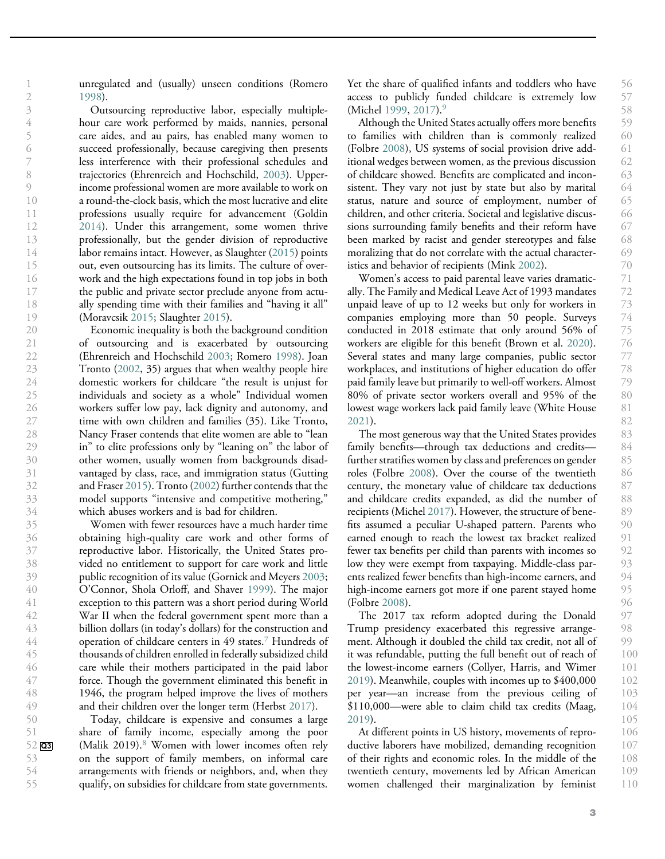unregulated and (usually) unseen conditions (Romero 1998).

47 48

> 50 51

53 54 55

Outsourcing reproductive labor, especially multiplehour care work performed by maids, nannies, personal care aides, and au pairs, has enabled many women to succeed professionally, because caregiving then presents less interference with their professional schedules and trajectories (Ehrenreich and Hochschild, 2003). Upperincome professional women are more available to work on a round-the-clock basis, which the most lucrative and elite professions usually require for advancement (Goldin 2014). Under this arrangement, some women thrive professionally, but the gender division of reproductive labor remains intact. However, as Slaughter (2015) points out, even outsourcing has its limits. The culture of overwork and the high expectations found in top jobs in both the public and private sector preclude anyone from actually spending time with their families and "having it all" (Moravcsik 2015; Slaughter 2015).

Economic inequality is both the background condition of outsourcing and is exacerbated by outsourcing (Ehrenreich and Hochschild 2003; Romero 1998). Joan Tronto (2002, 35) argues that when wealthy people hire domestic workers for childcare "the result is unjust for individuals and society as a whole" Individual women workers suffer low pay, lack dignity and autonomy, and time with own children and families (35). Like Tronto, Nancy Fraser contends that elite women are able to "lean in" to elite professions only by "leaning on" the labor of other women, usually women from backgrounds disadvantaged by class, race, and immigration status (Gutting and Fraser 2015). Tronto (2002) further contends that the model supports "intensive and competitive mothering," which abuses workers and is bad for children.

Women with fewer resources have a much harder time obtaining high-quality care work and other forms of reproductive labor. Historically, the United States provided no entitlement to support for care work and little public recognition of its value (Gornick and Meyers 2003; O'Connor, Shola Orloff, and Shaver 1999). The major exception to this pattern was a short period during World War II when the federal government spent more than a billion dollars (in today's dollars) for the construction and operation of childcare centers in 49 states.<sup>7</sup> Hundreds of thousands of children enrolled in federally subsidized child care while their mothers participated in the paid labor force. Though the government eliminated this benefit in 1946, the program helped improve the lives of mothers and their children over the longer term (Herbst 2017). 36 46 49

Today, childcare is expensive and consumes a large share of family income, especially among the poor (Malik 2019).<sup>8</sup> Women with lower incomes often rely on the support of family members, on informal care arrangements with friends or neighbors, and, when they qualify, on subsidies for childcare from state governments. 52 Q3

Yet the share of qualified infants and toddlers who have access to publicly funded childcare is extremely low (Michel 1999, 2017).<sup>9</sup>

Although the United States actually offers more benefits to families with children than is commonly realized (Folbre 2008), US systems of social provision drive additional wedges between women, as the previous discussion of childcare showed. Benefits are complicated and inconsistent. They vary not just by state but also by marital status, nature and source of employment, number of children, and other criteria. Societal and legislative discussions surrounding family benefits and their reform have been marked by racist and gender stereotypes and false moralizing that do not correlate with the actual characteristics and behavior of recipients (Mink 2002).

Women's access to paid parental leave varies dramatically. The Family and Medical Leave Act of 1993 mandates unpaid leave of up to 12 weeks but only for workers in companies employing more than 50 people. Surveys conducted in 2018 estimate that only around 56% of workers are eligible for this benefit (Brown et al. 2020). Several states and many large companies, public sector workplaces, and institutions of higher education do offer paid family leave but primarily to well-off workers. Almost 80% of private sector workers overall and 95% of the lowest wage workers lack paid family leave (White House 2021).

The most generous way that the United States provides family benefits—through tax deductions and credits further stratifies women by class and preferences on gender roles (Folbre 2008). Over the course of the twentieth century, the monetary value of childcare tax deductions and childcare credits expanded, as did the number of recipients (Michel 2017). However, the structure of benefits assumed a peculiar U-shaped pattern. Parents who earned enough to reach the lowest tax bracket realized fewer tax benefits per child than parents with incomes so low they were exempt from taxpaying. Middle-class parents realized fewer benefits than high-income earners, and high-income earners got more if one parent stayed home (Folbre 2008).

The 2017 tax reform adopted during the Donald Trump presidency exacerbated this regressive arrangement. Although it doubled the child tax credit, not all of it was refundable, putting the full benefit out of reach of the lowest-income earners (Collyer, Harris, and Wimer 2019). Meanwhile, couples with incomes up to \$400,000 per year—an increase from the previous ceiling of \$110,000—were able to claim child tax credits (Maag, 2019).

At different points in US history, movements of reproductive laborers have mobilized, demanding recognition of their rights and economic roles. In the middle of the twentieth century, movements led by African American women challenged their marginalization by feminist 106 107 108 109 110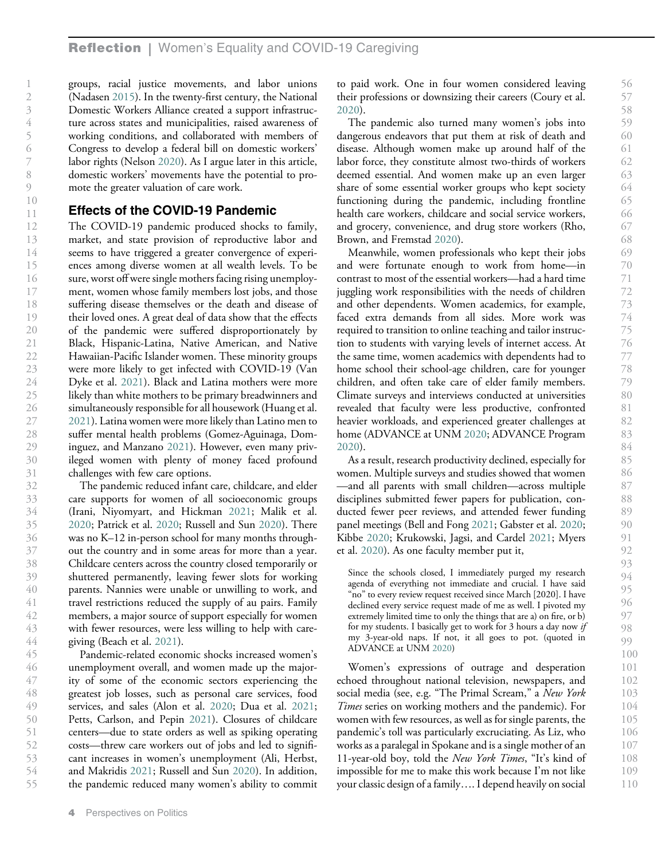groups, racial justice movements, and labor unions (Nadasen 2015). In the twenty-first century, the National Domestic Workers Alliance created a support infrastructure across states and municipalities, raised awareness of working conditions, and collaborated with members of Congress to develop a federal bill on domestic workers' labor rights (Nelson 2020). As I argue later in this article, domestic workers' movements have the potential to promote the greater valuation of care work.

## Effects of the COVID-19 Pandemic

The COVID-19 pandemic produced shocks to family, market, and state provision of reproductive labor and seems to have triggered a greater convergence of experiences among diverse women at all wealth levels. To be sure, worst off were single mothers facing rising unemployment, women whose family members lost jobs, and those suffering disease themselves or the death and disease of their loved ones. A great deal of data show that the effects of the pandemic were suffered disproportionately by Black, Hispanic-Latina, Native American, and Native Hawaiian-Pacific Islander women. These minority groups were more likely to get infected with COVID-19 (Van Dyke et al. 2021). Black and Latina mothers were more likely than white mothers to be primary breadwinners and simultaneously responsible for all housework (Huang et al. 2021). Latina women were more likely than Latino men to suffer mental health problems (Gomez-Aguinaga, Dominguez, and Manzano 2021). However, even many privileged women with plenty of money faced profound challenges with few care options.

The pandemic reduced infant care, childcare, and elder care supports for women of all socioeconomic groups (Irani, Niyomyart, and Hickman 2021; Malik et al. 2020; Patrick et al. 2020; Russell and Sun 2020). There was no K–12 in-person school for many months throughout the country and in some areas for more than a year. Childcare centers across the country closed temporarily or shuttered permanently, leaving fewer slots for working parents. Nannies were unable or unwilling to work, and travel restrictions reduced the supply of au pairs. Family members, a major source of support especially for women with fewer resources, were less willing to help with caregiving (Beach et al. 2021). 42 43 44

Pandemic-related economic shocks increased women's unemployment overall, and women made up the majority of some of the economic sectors experiencing the greatest job losses, such as personal care services, food services, and sales (Alon et al. 2020; Dua et al. 2021; Petts, Carlson, and Pepin 2021). Closures of childcare centers—due to state orders as well as spiking operating costs—threw care workers out of jobs and led to significant increases in women's unemployment (Ali, Herbst, and Makridis 2021; Russell and Sun 2020). In addition, the pandemic reduced many women's ability to commit 45 46 47 48 49 50 51 52 53 54 55

to paid work. One in four women considered leaving their professions or downsizing their careers (Coury et al. 2020).

The pandemic also turned many women's jobs into dangerous endeavors that put them at risk of death and disease. Although women make up around half of the labor force, they constitute almost two-thirds of workers deemed essential. And women make up an even larger share of some essential worker groups who kept society functioning during the pandemic, including frontline health care workers, childcare and social service workers, and grocery, convenience, and drug store workers (Rho, Brown, and Fremstad 2020).

Meanwhile, women professionals who kept their jobs and were fortunate enough to work from home—in contrast to most of the essential workers—had a hard time juggling work responsibilities with the needs of children and other dependents. Women academics, for example, faced extra demands from all sides. More work was required to transition to online teaching and tailor instruction to students with varying levels of internet access. At the same time, women academics with dependents had to home school their school-age children, care for younger children, and often take care of elder family members. Climate surveys and interviews conducted at universities revealed that faculty were less productive, confronted heavier workloads, and experienced greater challenges at home (ADVANCE at UNM 2020; ADVANCE Program 2020).

As a result, research productivity declined, especially for women. Multiple surveys and studies showed that women —and all parents with small children—across multiple disciplines submitted fewer papers for publication, conducted fewer peer reviews, and attended fewer funding panel meetings (Bell and Fong 2021; Gabster et al. 2020; Kibbe 2020; Krukowski, Jagsi, and Cardel 2021; Myers et al. 2020). As one faculty member put it,

Since the schools closed, I immediately purged my research agenda of everything not immediate and crucial. I have said "no" to every review request received since March [2020]. I have declined every service request made of me as well. I pivoted my extremely limited time to only the things that are a) on fire, or b) for my students. I basically get to work for 3 hours a day now if my 3-year-old naps. If not, it all goes to pot. (quoted in ADVANCE at UNM 2020)

Women's expressions of outrage and desperation echoed throughout national television, newspapers, and social media (see, e.g. "The Primal Scream," a New York Times series on working mothers and the pandemic). For women with few resources, as well as for single parents, the pandemic's toll was particularly excruciating. As Liz, who works as a paralegal in Spokane and is a single mother of an 11-year-old boy, told the New York Times, "It's kind of impossible for me to make this work because I'm not like your classic design of a family…. I depend heavily on social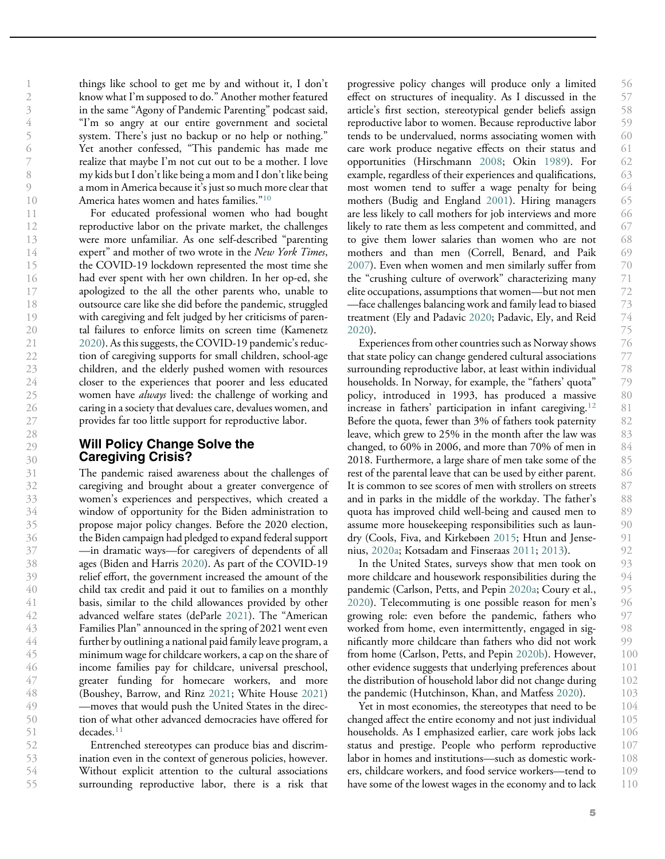things like school to get me by and without it, I don't know what I'm supposed to do." Another mother featured in the same "Agony of Pandemic Parenting" podcast said, "I'm so angry at our entire government and societal system. There's just no backup or no help or nothing." Yet another confessed, "This pandemic has made me realize that maybe I'm not cut out to be a mother. I love my kids but I don't like being a mom and I don't like being a mom in America because it's just so much more clear that America hates women and hates families."<sup>10</sup>

For educated professional women who had bought reproductive labor on the private market, the challenges were more unfamiliar. As one self-described "parenting expert" and mother of two wrote in the New York Times, the COVID-19 lockdown represented the most time she had ever spent with her own children. In her op-ed, she apologized to the all the other parents who, unable to outsource care like she did before the pandemic, struggled with caregiving and felt judged by her criticisms of parental failures to enforce limits on screen time (Kamenetz 2020). As this suggests, the COVID-19 pandemic's reduction of caregiving supports for small children, school-age children, and the elderly pushed women with resources closer to the experiences that poorer and less educated women have *always* lived: the challenge of working and caring in a society that devalues care, devalues women, and provides far too little support for reproductive labor.

## Will Policy Change Solve the Caregiving Crisis?

The pandemic raised awareness about the challenges of caregiving and brought about a greater convergence of women's experiences and perspectives, which created a window of opportunity for the Biden administration to propose major policy changes. Before the 2020 election, the Biden campaign had pledged to expand federal support —in dramatic ways—for caregivers of dependents of all ages (Biden and Harris 2020). As part of the COVID-19 relief effort, the government increased the amount of the child tax credit and paid it out to families on a monthly basis, similar to the child allowances provided by other advanced welfare states (deParle 2021). The "American Families Plan" announced in the spring of 2021 went even further by outlining a national paid family leave program, a minimum wage for childcare workers, a cap on the share of income families pay for childcare, universal preschool, greater funding for homecare workers, and more (Boushey, Barrow, and Rinz 2021; White House 2021) —moves that would push the United States in the direction of what other advanced democracies have offered for decades.<sup>11</sup>

Entrenched stereotypes can produce bias and discrimination even in the context of generous policies, however. Without explicit attention to the cultural associations surrounding reproductive labor, there is a risk that

progressive policy changes will produce only a limited effect on structures of inequality. As I discussed in the article's first section, stereotypical gender beliefs assign reproductive labor to women. Because reproductive labor tends to be undervalued, norms associating women with care work produce negative effects on their status and opportunities (Hirschmann 2008; Okin 1989). For example, regardless of their experiences and qualifications, most women tend to suffer a wage penalty for being mothers (Budig and England 2001). Hiring managers are less likely to call mothers for job interviews and more likely to rate them as less competent and committed, and to give them lower salaries than women who are not mothers and than men (Correll, Benard, and Paik 2007). Even when women and men similarly suffer from the "crushing culture of overwork" characterizing many elite occupations, assumptions that women—but not men —face challenges balancing work and family lead to biased treatment (Ely and Padavic 2020; Padavic, Ely, and Reid 2020).

Experiences from other countries such as Norway shows that state policy can change gendered cultural associations surrounding reproductive labor, at least within individual households. In Norway, for example, the "fathers' quota" policy, introduced in 1993, has produced a massive increase in fathers' participation in infant caregiving.<sup>12</sup> Before the quota, fewer than 3% of fathers took paternity leave, which grew to 25% in the month after the law was changed, to 60% in 2006, and more than 70% of men in 2018. Furthermore, a large share of men take some of the rest of the parental leave that can be used by either parent. It is common to see scores of men with strollers on streets and in parks in the middle of the workday. The father's quota has improved child well-being and caused men to assume more housekeeping responsibilities such as laundry (Cools, Fiva, and Kirkebøen 2015; Htun and Jensenius, 2020a; Kotsadam and Finseraas 2011; 2013).

In the United States, surveys show that men took on more childcare and housework responsibilities during the pandemic (Carlson, Petts, and Pepin 2020a; Coury et al., 2020). Telecommuting is one possible reason for men's growing role: even before the pandemic, fathers who worked from home, even intermittently, engaged in significantly more childcare than fathers who did not work from home (Carlson, Petts, and Pepin 2020b). However, other evidence suggests that underlying preferences about the distribution of household labor did not change during the pandemic (Hutchinson, Khan, and Matfess 2020).

Yet in most economies, the stereotypes that need to be changed affect the entire economy and not just individual households. As I emphasized earlier, care work jobs lack status and prestige. People who perform reproductive labor in homes and institutions—such as domestic workers, childcare workers, and food service workers—tend to have some of the lowest wages in the economy and to lack 104 105 106 107 108 109 110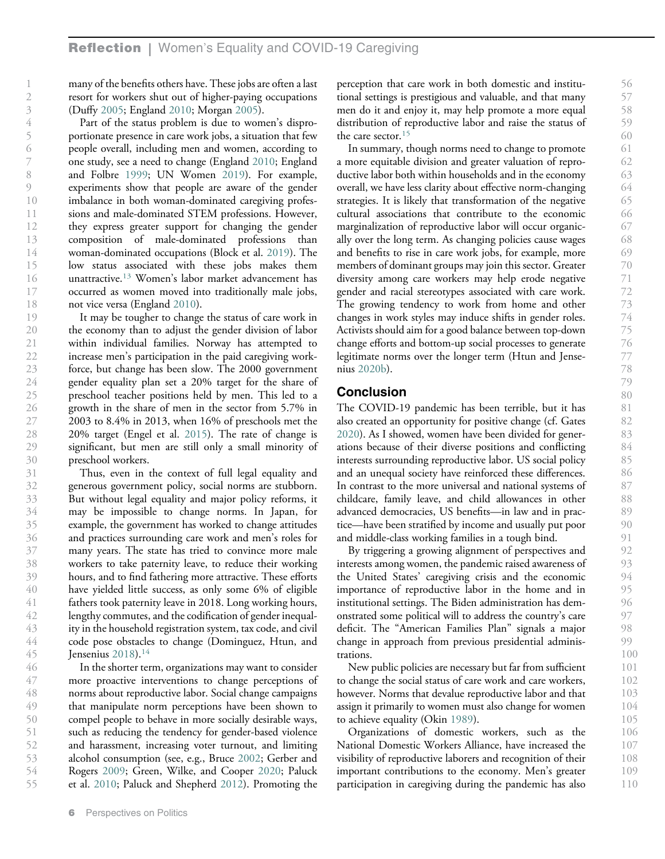many of the benefits others have. These jobs are often a last resort for workers shut out of higher-paying occupations (Duffy 2005; England 2010; Morgan 2005).

Part of the status problem is due to women's disproportionate presence in care work jobs, a situation that few people overall, including men and women, according to one study, see a need to change (England 2010; England and Folbre 1999; UN Women 2019). For example, experiments show that people are aware of the gender imbalance in both woman-dominated caregiving professions and male-dominated STEM professions. However, they express greater support for changing the gender composition of male-dominated professions than woman-dominated occupations (Block et al. 2019). The low status associated with these jobs makes them unattractive.<sup>13</sup> Women's labor market advancement has occurred as women moved into traditionally male jobs, not vice versa (England 2010).

It may be tougher to change the status of care work in the economy than to adjust the gender division of labor within individual families. Norway has attempted to increase men's participation in the paid caregiving workforce, but change has been slow. The 2000 government gender equality plan set a 20% target for the share of preschool teacher positions held by men. This led to a growth in the share of men in the sector from 5.7% in 2003 to 8.4% in 2013, when 16% of preschools met the 20% target (Engel et al. 2015). The rate of change is significant, but men are still only a small minority of preschool workers.

Thus, even in the context of full legal equality and generous government policy, social norms are stubborn. But without legal equality and major policy reforms, it may be impossible to change norms. In Japan, for example, the government has worked to change attitudes and practices surrounding care work and men's roles for many years. The state has tried to convince more male workers to take paternity leave, to reduce their working hours, and to find fathering more attractive. These efforts have yielded little success, as only some 6% of eligible fathers took paternity leave in 2018. Long working hours, lengthy commutes, and the codification of gender inequality in the household registration system, tax code, and civil code pose obstacles to change (Dominguez, Htun, and Jensenius  $2018$ ).<sup>14</sup>

In the shorter term, organizations may want to consider more proactive interventions to change perceptions of norms about reproductive labor. Social change campaigns that manipulate norm perceptions have been shown to compel people to behave in more socially desirable ways, such as reducing the tendency for gender-based violence and harassment, increasing voter turnout, and limiting alcohol consumption (see, e.g., Bruce 2002; Gerber and Rogers 2009; Green, Wilke, and Cooper 2020; Paluck et al. 2010; Paluck and Shepherd 2012). Promoting the 46 47 48 49 50 51 52 53 54 55

perception that care work in both domestic and institutional settings is prestigious and valuable, and that many men do it and enjoy it, may help promote a more equal distribution of reproductive labor and raise the status of the care sector.<sup>15</sup>

In summary, though norms need to change to promote a more equitable division and greater valuation of reproductive labor both within households and in the economy overall, we have less clarity about effective norm-changing strategies. It is likely that transformation of the negative cultural associations that contribute to the economic marginalization of reproductive labor will occur organically over the long term. As changing policies cause wages and benefits to rise in care work jobs, for example, more members of dominant groups may join this sector. Greater diversity among care workers may help erode negative gender and racial stereotypes associated with care work. The growing tendency to work from home and other changes in work styles may induce shifts in gender roles. Activists should aim for a good balance between top-down change efforts and bottom-up social processes to generate legitimate norms over the longer term (Htun and Jensenius 2020b).

## Conclusion

The COVID-19 pandemic has been terrible, but it has also created an opportunity for positive change (cf. Gates 2020). As I showed, women have been divided for generations because of their diverse positions and conflicting interests surrounding reproductive labor. US social policy and an unequal society have reinforced these differences. In contrast to the more universal and national systems of childcare, family leave, and child allowances in other advanced democracies, US benefits—in law and in practice—have been stratified by income and usually put poor and middle-class working families in a tough bind.

By triggering a growing alignment of perspectives and interests among women, the pandemic raised awareness of the United States' caregiving crisis and the economic importance of reproductive labor in the home and in institutional settings. The Biden administration has demonstrated some political will to address the country's care deficit. The "American Families Plan" signals a major change in approach from previous presidential administrations.

New public policies are necessary but far from sufficient to change the social status of care work and care workers, however. Norms that devalue reproductive labor and that assign it primarily to women must also change for women to achieve equality (Okin 1989).

Organizations of domestic workers, such as the National Domestic Workers Alliance, have increased the visibility of reproductive laborers and recognition of their important contributions to the economy. Men's greater participation in caregiving during the pandemic has also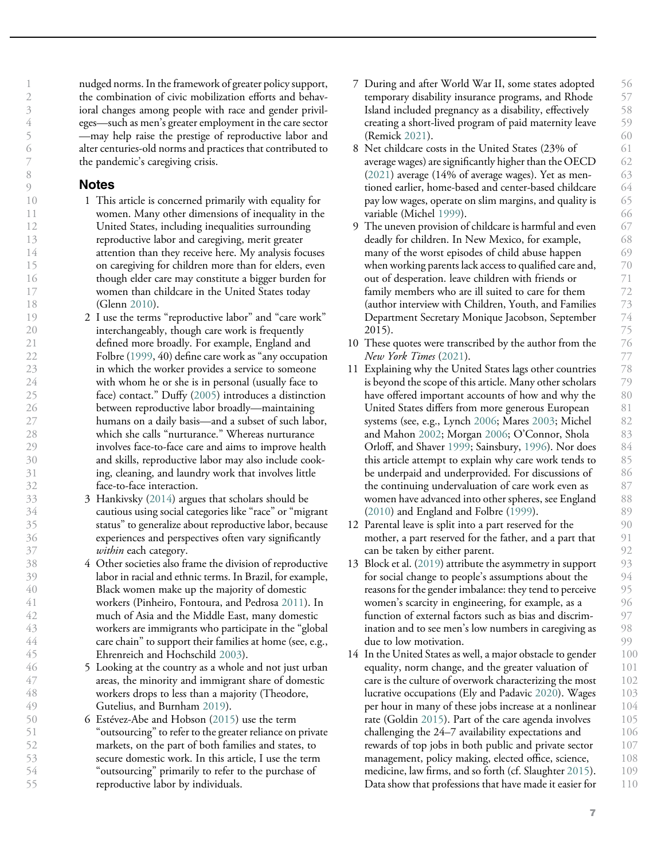nudged norms. In the framework of greater policy support, the combination of civic mobilization efforts and behavioral changes among people with race and gender privileges—such as men's greater employment in the care sector —may help raise the prestige of reproductive labor and alter centuries-old norms and practices that contributed to the pandemic's caregiving crisis.

## **Notes**

- 1 This article is concerned primarily with equality for women. Many other dimensions of inequality in the United States, including inequalities surrounding reproductive labor and caregiving, merit greater attention than they receive here. My analysis focuses on caregiving for children more than for elders, even though elder care may constitute a bigger burden for women than childcare in the United States today (Glenn 2010).
- 2 I use the terms "reproductive labor" and "care work" interchangeably, though care work is frequently defined more broadly. For example, England and Folbre (1999, 40) define care work as "any occupation in which the worker provides a service to someone with whom he or she is in personal (usually face to face) contact." Duffy (2005) introduces a distinction between reproductive labor broadly—maintaining humans on a daily basis—and a subset of such labor, which she calls "nurturance." Whereas nurturance involves face-to-face care and aims to improve health and skills, reproductive labor may also include cooking, cleaning, and laundry work that involves little face-to-face interaction.
	- 3 Hankivsky (2014) argues that scholars should be cautious using social categories like "race" or "migrant status" to generalize about reproductive labor, because experiences and perspectives often vary significantly within each category.
- 4 Other societies also frame the division of reproductive labor in racial and ethnic terms. In Brazil, for example, Black women make up the majority of domestic workers (Pinheiro, Fontoura, and Pedrosa 2011). In much of Asia and the Middle East, many domestic workers are immigrants who participate in the "global care chain" to support their families at home (see, e.g., Ehrenreich and Hochschild 2003).
- 5 Looking at the country as a whole and not just urban areas, the minority and immigrant share of domestic workers drops to less than a majority (Theodore, Gutelius, and Burnham 2019).
- 6 Estévez-Abe and Hobson (2015) use the term "outsourcing" to refer to the greater reliance on private markets, on the part of both families and states, to secure domestic work. In this article, I use the term "outsourcing" primarily to refer to the purchase of reproductive labor by individuals.
- 7 During and after World War II, some states adopted temporary disability insurance programs, and Rhode Island included pregnancy as a disability, effectively creating a short-lived program of paid maternity leave (Remick 2021).
- 8 Net childcare costs in the United States (23% of average wages) are significantly higher than the OECD (2021) average (14% of average wages). Yet as mentioned earlier, home-based and center-based childcare pay low wages, operate on slim margins, and quality is variable (Michel 1999).
- 9 The uneven provision of childcare is harmful and even deadly for children. In New Mexico, for example, many of the worst episodes of child abuse happen when working parents lack access to qualified care and, out of desperation. leave children with friends or family members who are ill suited to care for them (author interview with Children, Youth, and Families Department Secretary Monique Jacobson, September 2015).
- 10 These quotes were transcribed by the author from the New York Times (2021).
- 11 Explaining why the United States lags other countries is beyond the scope of this article. Many other scholars have offered important accounts of how and why the United States differs from more generous European systems (see, e.g., Lynch 2006; Mares 2003; Michel and Mahon 2002; Morgan 2006; O'Connor, Shola Orloff, and Shaver 1999; Sainsbury, 1996). Nor does this article attempt to explain why care work tends to be underpaid and underprovided. For discussions of the continuing undervaluation of care work even as women have advanced into other spheres, see England (2010) and England and Folbre (1999).
- 12 Parental leave is split into a part reserved for the mother, a part reserved for the father, and a part that can be taken by either parent.
- 13 Block et al. (2019) attribute the asymmetry in support for social change to people's assumptions about the reasons for the gender imbalance: they tend to perceive women's scarcity in engineering, for example, as a function of external factors such as bias and discrimination and to see men's low numbers in caregiving as due to low motivation.
- 14 In the United States as well, a major obstacle to gender equality, norm change, and the greater valuation of care is the culture of overwork characterizing the most lucrative occupations (Ely and Padavic 2020). Wages per hour in many of these jobs increase at a nonlinear rate (Goldin 2015). Part of the care agenda involves challenging the 24–7 availability expectations and rewards of top jobs in both public and private sector management, policy making, elected office, science, medicine, law firms, and so forth (cf. Slaughter 2015). Data show that professions that have made it easier for 107 108 109 110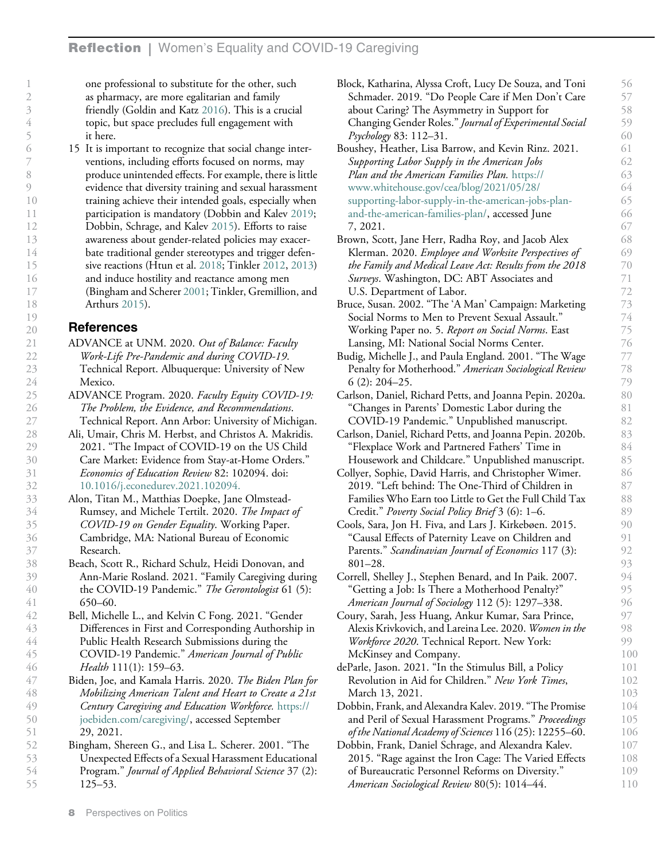one professional to substitute for the other, such as pharmacy, are more egalitarian and family friendly (Goldin and Katz 2016). This is a crucial topic, but space precludes full engagement with it here.

15 It is important to recognize that social change interventions, including efforts focused on norms, may produce unintended effects. For example, there is little evidence that diversity training and sexual harassment training achieve their intended goals, especially when participation is mandatory (Dobbin and Kalev 2019; Dobbin, Schrage, and Kalev 2015). Efforts to raise awareness about gender-related policies may exacerbate traditional gender stereotypes and trigger defensive reactions (Htun et al. 2018; Tinkler 2012, 2013) and induce hostility and reactance among men (Bingham and Scherer 2001; Tinkler, Gremillion, and Arthurs 2015).

# References

- ADVANCE at UNM. 2020. Out of Balance: Faculty Work-Life Pre-Pandemic and during COVID-19. Technical Report. Albuquerque: University of New Mexico.
- ADVANCE Program. 2020. Faculty Equity COVID-19: The Problem, the Evidence, and Recommendations. Technical Report. Ann Arbor: University of Michigan.
- Ali, Umair, Chris M. Herbst, and Christos A. Makridis. 2021. "The Impact of COVID-19 on the US Child Care Market: Evidence from Stay-at-Home Orders." Economics of Education Review 82: 102094. doi: 10.1016/j.econedurev.2021.102094.
- Alon, Titan M., Matthias Doepke, Jane Olmstead-Rumsey, and Michele Tertilt. 2020. The Impact of COVID-19 on Gender Equality. Working Paper. Cambridge, MA: National Bureau of Economic Research.
- Beach, Scott R., Richard Schulz, Heidi Donovan, and Ann-Marie Rosland. 2021. "Family Caregiving during the COVID-19 Pandemic." The Gerontologist 61 (5): 650–60.
- Bell, Michelle L., and Kelvin C Fong. 2021. "Gender Differences in First and Corresponding Authorship in Public Health Research Submissions during the COVID-19 Pandemic." American Journal of Public Health 111(1): 159-63.
- Biden, Joe, and Kamala Harris. 2020. The Biden Plan for Mobilizing American Talent and Heart to Create a 21st Century Caregiving and Education Workforce. https:// joebiden.com/caregiving/, accessed September 29, 2021. 48 49 50 51
- Bingham, Shereen G., and Lisa L. Scherer. 2001. "The Unexpected Effects of a Sexual Harassment Educational Program." Journal of Applied Behavioral Science 37 (2): 125–53. 52 53 54 55

| Block, Katharina, Alyssa Croft, Lucy De Souza, and Toni  | 56  |
|----------------------------------------------------------|-----|
| Schmader. 2019. "Do People Care if Men Don't Care        | 57  |
| about Caring? The Asymmetry in Support for               | 58  |
| Changing Gender Roles." Journal of Experimental Social   | 59  |
| Psychology 83: 112–31.                                   | 60  |
| Boushey, Heather, Lisa Barrow, and Kevin Rinz. 2021.     | 61  |
| Supporting Labor Supply in the American Jobs             | 62  |
| Plan and the American Families Plan. https://            | 63  |
| www.whitehouse.gov/cea/blog/2021/05/28/                  | 64  |
| supporting-labor-supply-in-the-american-jobs-plan-       | 65  |
| and-the-american-families-plan/, accessed June           | 66  |
| 7, 2021.                                                 | 67  |
| Brown, Scott, Jane Herr, Radha Roy, and Jacob Alex       | 68  |
| Klerman. 2020. Employee and Worksite Perspectives of     | 69  |
| the Family and Medical Leave Act: Results from the 2018  | 70  |
| Surveys. Washington, DC: ABT Associates and              | 71  |
| U.S. Department of Labor.                                | 72  |
| Bruce, Susan. 2002. "The 'A Man' Campaign: Marketing     | 73  |
| Social Norms to Men to Prevent Sexual Assault."          | 74  |
| Working Paper no. 5. Report on Social Norms. East        | 75  |
| Lansing, MI: National Social Norms Center.               | 76  |
| Budig, Michelle J., and Paula England. 2001. "The Wage   | 77  |
| Penalty for Motherhood." American Sociological Review    | 78  |
| $6(2): 204 - 25.$                                        | 79  |
| Carlson, Daniel, Richard Petts, and Joanna Pepin. 2020a. | 80  |
| "Changes in Parents' Domestic Labor during the           | 81  |
| COVID-19 Pandemic." Unpublished manuscript.              | 82  |
| Carlson, Daniel, Richard Petts, and Joanna Pepin. 2020b. | 83  |
| "Flexplace Work and Partnered Fathers' Time in           | 84  |
| Housework and Childcare." Unpublished manuscript.        | 85  |
| Collyer, Sophie, David Harris, and Christopher Wimer.    | 86  |
| 2019. "Left behind: The One-Third of Children in         | 87  |
| Families Who Earn too Little to Get the Full Child Tax   | 88  |
| Credit." Poverty Social Policy Brief 3 (6): 1-6.         | 89  |
| Cools, Sara, Jon H. Fiva, and Lars J. Kirkebøen. 2015.   | 90  |
| "Causal Effects of Paternity Leave on Children and       | 91  |
| Parents." Scandinavian Journal of Economics 117 (3):     | 92  |
| 801–28.                                                  | 93  |
| Correll, Shelley J., Stephen Benard, and In Paik. 2007.  | 94  |
| "Getting a Job: Is There a Motherhood Penalty?"          | 95  |
| American Journal of Sociology 112 (5): 1297–338.         | 96  |
| Coury, Sarah, Jess Huang, Ankur Kumar, Sara Prince,      | 97  |
| Alexis Krivkovich, and Lareina Lee. 2020. Women in the   | 98  |
| Workforce 2020. Technical Report. New York:              | 99  |
| McKinsey and Company.                                    | 100 |
| deParle, Jason. 2021. "In the Stimulus Bill, a Policy    | 101 |
| Revolution in Aid for Children." New York Times,         | 102 |
| March 13, 2021.                                          | 103 |
| Dobbin, Frank, and Alexandra Kalev. 2019. "The Promise   | 104 |
| and Peril of Sexual Harassment Programs." Proceedings    | 105 |
| of the National Academy of Sciences 116 (25): 12255–60.  | 106 |
| Dobbin, Frank, Daniel Schrage, and Alexandra Kalev.      | 107 |
| 2015. "Rage against the Iron Cage: The Varied Effects    | 108 |
| of Bureaucratic Personnel Reforms on Diversity."         | 109 |
|                                                          | 110 |
| American Sociological Review 80(5): 1014-44.             |     |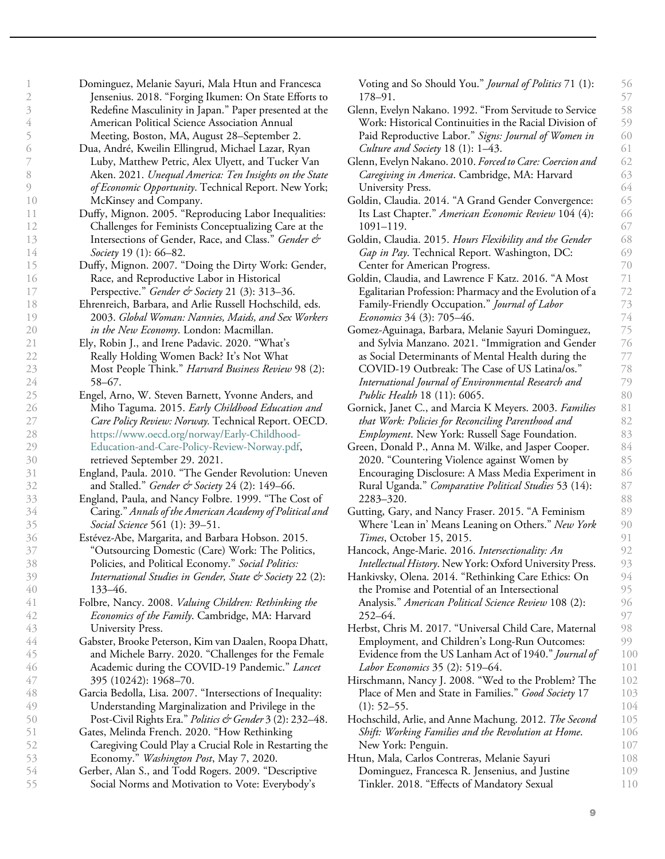| 1                                          |                               |
|--------------------------------------------|-------------------------------|
| )                                          |                               |
| 5                                          |                               |
| 4                                          |                               |
|                                            |                               |
| $\overline{\mathcal{L}}$<br>$\overline{)}$ |                               |
|                                            |                               |
| 8                                          |                               |
| )                                          |                               |
| 1                                          | $\overline{\phantom{a}}$<br>Э |
| l                                          | ĺ                             |
| l                                          | $\overline{ }$                |
|                                            |                               |
| l                                          | ξ                             |
| l                                          | 1                             |
| l                                          | $\mathcal{E}$                 |
| $\frac{1}{2}$                              | )                             |
| l                                          |                               |
| 1                                          | 8                             |
| ĺ                                          | $\overline{\phantom{a}}$<br>) |
|                                            | $\frac{2}{3}$<br>)            |
| $\overline{a}$                             | 1                             |
| $\overline{c}$                             | $\mathcal{V}$                 |
| $\overline{c}$                             | ξ                             |
| $\overline{c}$                             | Î                             |
| $\overline{c}$                             |                               |
| $\overline{2}$                             |                               |
| $\overline{\mathbf{r}}$                    | $\mathfrak{z}$                |
|                                            |                               |
|                                            | 28                            |
| $\sum_{i=1}^{n}$                           | <b>)</b>                      |
|                                            | $\frac{30}{20}$               |
| 3                                          | 1                             |
| 3                                          | $\overline{ }$                |
| ξ                                          |                               |
| 3                                          | 4                             |
| 3                                          |                               |
| 36                                         |                               |
| 37                                         |                               |
| ₹                                          | Ω<br>Í                        |
| $\frac{3}{2}$                              | )                             |
| 40                                         | )                             |
| 4                                          |                               |
| 4                                          | 1                             |
| 4                                          | š                             |
| 4                                          | 4<br>l                        |
| 4                                          | )                             |
| 46                                         |                               |
| 4                                          |                               |
|                                            | 48                            |
| ŧ                                          | $\overline{\mathbf{C}}$<br>)  |
|                                            |                               |
|                                            |                               |
| $\frac{1}{2}$                              | )                             |
| $\mathcal{E}$                              |                               |
| $\mathcal{E}$                              |                               |
| $\mathcal{E}$                              | j                             |
| $\overline{)}$<br>5                        | $\overline{a}$                |

Challenges for Feminists Conceptualizing Care at the Intersections of Gender, Race, and Class." Gender & Society 19 (1): 66–82. Duffy, Mignon. 2007. "Doing the Dirty Work: Gender, Race, and Reproductive Labor in Historical Perspective." Gender & Society 21 (3): 313-36. Ehrenreich, Barbara, and Arlie Russell Hochschild, eds. 2003. Global Woman: Nannies, Maids, and Sex Workers in the New Economy. London: Macmillan. Ely, Robin J., and Irene Padavic. 2020. "What's Really Holding Women Back? It's Not What Most People Think." Harvard Business Review 98 (2): 58–67. Engel, Arno, W. Steven Barnett, Yvonne Anders, and Miho Taguma. 2015. Early Childhood Education and Care Policy Review: Norway. Technical Report. OECD. https://www.oecd.org/norway/Early-Childhood-Education-and-Care-Policy-Review-Norway.pdf, retrieved September 29. 2021. England, Paula. 2010. "The Gender Revolution: Uneven and Stalled." Gender & Society 24 (2):  $149-66$ . England, Paula, and Nancy Folbre. 1999. "The Cost of Caring." Annals of the American Academy of Political and Social Science 561 (1): 39-51. Estévez-Abe, Margarita, and Barbara Hobson. 2015. "Outsourcing Domestic (Care) Work: The Politics, Policies, and Political Economy." Social Politics: International Studies in Gender, State & Society 22 (2): 133–46. Folbre, Nancy. 2008. Valuing Children: Rethinking the Economics of the Family. Cambridge, MA: Harvard University Press. Gabster, Brooke Peterson, Kim van Daalen, Roopa Dhatt, and Michele Barry. 2020. "Challenges for the Female Academic during the COVID-19 Pandemic." Lancet 395 (10242): 1968–70. Garcia Bedolla, Lisa. 2007. "Intersections of Inequality: Understanding Marginalization and Privilege in the Post-Civil Rights Era." Politics & Gender 3 (2): 232-48. Gates, Melinda French. 2020. "How Rethinking Caregiving Could Play a Crucial Role in Restarting the Economy." Washington Post, May 7, 2020. Gerber, Alan S., and Todd Rogers. 2009. "Descriptive Social Norms and Motivation to Vote: Everybody's

Dominguez, Melanie Sayuri, Mala Htun and Francesca Jensenius. 2018. "Forging Ikumen: On State Efforts to Redefine Masculinity in Japan." Paper presented at the

Duffy, Mignon. 2005. "Reproducing Labor Inequalities:

American Political Science Association Annual Meeting, Boston, MA, August 28–September 2. Dua, André, Kweilin Ellingrud, Michael Lazar, Ryan Luby, Matthew Petric, Alex Ulyett, and Tucker Van Aken. 2021. Unequal America: Ten Insights on the State of Economic Opportunity. Technical Report. New York;

McKinsey and Company.

178–91. Glenn, Evelyn Nakano. 1992. "From Servitude to Service Work: Historical Continuities in the Racial Division of Paid Reproductive Labor." Signs: Journal of Women in Culture and Society 18 (1): 1–43. Glenn, Evelyn Nakano. 2010. Forced to Care: Coercion and Caregiving in America. Cambridge, MA: Harvard University Press. Goldin, Claudia. 2014. "A Grand Gender Convergence: Its Last Chapter." American Economic Review 104 (4): 1091–119. Goldin, Claudia. 2015. Hours Flexibility and the Gender Gap in Pay. Technical Report. Washington, DC: Center for American Progress. Goldin, Claudia, and Lawrence F Katz. 2016. "A Most Egalitarian Profession: Pharmacy and the Evolution of a Family-Friendly Occupation." Journal of Labor Economics 34 (3): 705–46. Gomez-Aguinaga, Barbara, Melanie Sayuri Dominguez, and Sylvia Manzano. 2021. "Immigration and Gender as Social Determinants of Mental Health during the COVID-19 Outbreak: The Case of US Latina/os." International Journal of Environmental Research and Public Health 18 (11): 6065. Gornick, Janet C., and Marcia K Meyers. 2003. Families that Work: Policies for Reconciling Parenthood and Employment. New York: Russell Sage Foundation. Green, Donald P., Anna M. Wilke, and Jasper Cooper. 2020. "Countering Violence against Women by Encouraging Disclosure: A Mass Media Experiment in Rural Uganda." Comparative Political Studies 53 (14): 2283–320. Gutting, Gary, and Nancy Fraser. 2015. "A Feminism Where 'Lean in' Means Leaning on Others." New York Times, October 15, 2015. Hancock, Ange-Marie. 2016. Intersectionality: An Intellectual History. New York: Oxford University Press. Hankivsky, Olena. 2014. "Rethinking Care Ethics: On the Promise and Potential of an Intersectional Analysis." American Political Science Review 108 (2): 252–64. Herbst, Chris M. 2017. "Universal Child Care, Maternal Employment, and Children's Long-Run Outcomes: Evidence from the US Lanham Act of 1940." Journal of Labor Economics 35 (2): 519–64. Hirschmann, Nancy J. 2008. "Wed to the Problem? The Place of Men and State in Families." Good Society 17  $(1): 52 - 55.$ Hochschild, Arlie, and Anne Machung. 2012. The Second Shift: Working Families and the Revolution at Home. New York: Penguin. Htun, Mala, Carlos Contreras, Melanie Sayuri Dominguez, Francesca R. Jensenius, and Justine Tinkler. 2018. "Effects of Mandatory Sexual 57 58 59 60 61 62 63 64 65 66 67 68 69 70 71 72 73 74 75 76 77 78 79 80 81 82 83 84 85 86 87 88 89 90 91 92 93 94 95 96 97 98 99 100 101 102 103 104 105 106 107 108 109 110

Voting and So Should You." Journal of Politics 71 (1):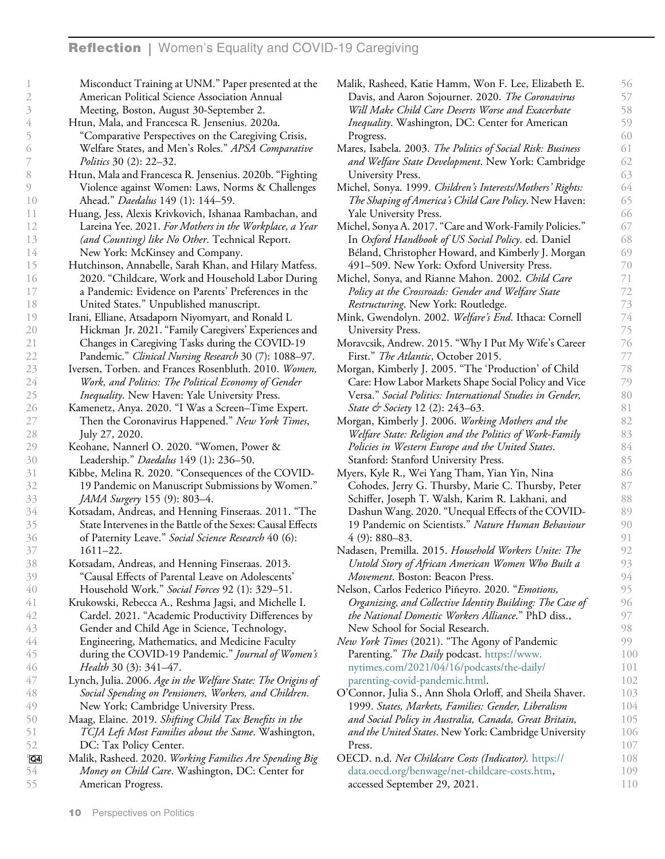| 1              | Misconduct Training at UNM." Paper presented at the          | Malik, Rasheed, Katie Hamm, Won F. Lee, Elizabeth E.        | 56  |
|----------------|--------------------------------------------------------------|-------------------------------------------------------------|-----|
| $\mathfrak{2}$ | American Political Science Association Annual                | Davis, and Aaron Sojourner. 2020. The Coronavirus           | 57  |
| $\beta$        | Meeting, Boston, August 30-September 2.                      | Will Make Child Care Deserts Worse and Exacerbate           | 58  |
| $\overline{4}$ | Htun, Mala, and Francesca R. Jensenius. 2020a.               | Inequality. Washington, DC: Center for American             | 59  |
| 5              | "Comparative Perspectives on the Caregiving Crisis,          | Progress.                                                   | 60  |
| 6              | Welfare States, and Men's Roles." APSA Comparative           | Mares, Isabela. 2003. The Politics of Social Risk: Business | 61  |
| 7              | Politics 30 (2): 22-32.                                      | and Welfare State Development. New York: Cambridge          | 62  |
| 8              | Htun, Mala and Francesca R. Jensenius. 2020b. "Fighting      | University Press.                                           | 63  |
| 9              | Violence against Women: Laws, Norms & Challenges             | Michel, Sonya. 1999. Children's Interests/Mothers' Rights:  | 64  |
| 10             | Ahead." Daedalus 149 (1): 144-59.                            | The Shaping of America's Child Care Policy. New Haven:      | 65  |
| 11             | Huang, Jess, Alexis Krivkovich, Ishanaa Rambachan, and       | Yale University Press.                                      | 66  |
| 12             | Lareina Yee. 2021. For Mothers in the Workplace, a Year      | Michel, Sonya A. 2017. "Care and Work-Family Policies."     | 67  |
| 13             | (and Counting) like No Other. Technical Report.              | In Oxford Handbook of US Social Policy. ed. Daniel          | 68  |
| 14             | New York: McKinsey and Company.                              | Béland, Christopher Howard, and Kimberly J. Morgan          | 69  |
| 15             | Hutchinson, Annabelle, Sarah Khan, and Hilary Matfess.       | 491–509. New York: Oxford University Press.                 | 70  |
| 16             | 2020. "Childcare, Work and Household Labor During            | Michel, Sonya, and Rianne Mahon. 2002. Child Care           | 71  |
| 17             | a Pandemic: Evidence on Parents' Preferences in the          | Policy at the Crossroads: Gender and Welfare State          | 72  |
| 18             | United States." Unpublished manuscript.                      | Restructuring. New York: Routledge.                         | 73  |
| 19             | Irani, Elliane, Atsadaporn Niyomyart, and Ronald L           | Mink, Gwendolyn. 2002. Welfare's End. Ithaca: Cornell       | 74  |
| 20             | Hickman Jr. 2021. "Family Caregivers' Experiences and        | University Press.                                           | 75  |
| 21             | Changes in Caregiving Tasks during the COVID-19              | Moravcsik, Andrew. 2015. "Why I Put My Wife's Career        | 76  |
|                |                                                              | First." The Atlantic, October 2015.                         | 77  |
| 22             | Pandemic." Clinical Nursing Research 30 (7): 1088-97.        |                                                             | 78  |
| 23             | Iversen, Torben. and Frances Rosenbluth. 2010. Women,        | Morgan, Kimberly J. 2005. "The 'Production' of Child        | 79  |
| 24             | Work, and Politics: The Political Economy of Gender          | Care: How Labor Markets Shape Social Policy and Vice        |     |
| 25             | <i>Inequality</i> . New Haven: Yale University Press.        | Versa." Social Politics: International Studies in Gender,   | 80  |
| 26             | Kamenetz, Anya. 2020. "I Was a Screen-Time Expert.           | State & Society 12 (2): 243–63.                             | 81  |
| 27             | Then the Coronavirus Happened." New York Times,              | Morgan, Kimberly J. 2006. Working Mothers and the           | 82  |
| 28             | July 27, 2020.                                               | Welfare State: Religion and the Politics of Work-Family     | 83  |
| 29             | Keohane, Nannerl O. 2020. "Women, Power &                    | Policies in Western Europe and the United States.           | 84  |
| 30             | Leadership." Daedalus 149 (1): 236-50.                       | Stanford: Stanford University Press.                        | 85  |
| 31             | Kibbe, Melina R. 2020. "Consequences of the COVID-           | Myers, Kyle R., Wei Yang Tham, Yian Yin, Nina               | 86  |
| 32             | 19 Pandemic on Manuscript Submissions by Women."             | Cohodes, Jerry G. Thursby, Marie C. Thursby, Peter          | 87  |
| 33             | JAMA Surgery 155 (9): 803-4.                                 | Schiffer, Joseph T. Walsh, Karim R. Lakhani, and            | 88  |
| 34             | Kotsadam, Andreas, and Henning Finseraas. 2011. "The         | Dashun Wang. 2020. "Unequal Effects of the COVID-           | 89  |
| 35             | State Intervenes in the Battle of the Sexes: Causal Effects  | 19 Pandemic on Scientists." Nature Human Behaviour          | 90  |
| 36             | of Paternity Leave." Social Science Research 40 (6):         | $4(9)$ : 880-83.                                            | 91  |
| 37             | $1611 - 22.$                                                 | Nadasen, Premilla. 2015. Household Workers Unite: The       | 92  |
| 38             | Kotsadam, Andreas, and Henning Finseraas. 2013.              | Untold Story of African American Women Who Built a          | 93  |
| 39             | "Causal Effects of Parental Leave on Adolescents'            | Movement. Boston: Beacon Press.                             | 94  |
| 40             | Household Work." Social Forces 92 (1): 329-51.               | Nelson, Carlos Federico Piñeyro. 2020. "Emotions,           | 95  |
| 41             | Krukowski, Rebecca A., Reshma Jagsi, and Michelle I.         | Organizing, and Collective Identity Building: The Case of   | 96  |
| 42             | Cardel. 2021. "Academic Productivity Differences by          | the National Domestic Workers Alliance." PhD diss.,         | 97  |
| 43             | Gender and Child Age in Science, Technology,                 | New School for Social Research.                             | 98  |
| 44             | Engineering, Mathematics, and Medicine Faculty               | New York Times (2021). "The Agony of Pandemic               | 99  |
| 45             | during the COVID-19 Pandemic." Journal of Women's            | Parenting." The Daily podcast. https://www.                 | 100 |
| 46             | Health 30 (3): 341-47.                                       | nytimes.com/2021/04/16/podcasts/the-daily/                  | 101 |
| 47             | Lynch, Julia. 2006. Age in the Welfare State: The Origins of | parenting-covid-pandemic.html.                              | 102 |
| 48             | Social Spending on Pensioners, Workers, and Children.        | O'Connor, Julia S., Ann Shola Orloff, and Sheila Shaver.    | 103 |
| 49             | New York: Cambridge University Press.                        | 1999. States, Markets, Families: Gender, Liberalism         | 104 |
| 50             | Maag, Elaine. 2019. Shifting Child Tax Benefits in the       | and Social Policy in Australia, Canada, Great Britain,      | 105 |
| 51             | TCJA Left Most Families about the Same. Washington,          | and the United States. New York: Cambridge University       | 106 |
| 52             | DC: Tax Policy Center.                                       | Press.                                                      | 107 |
| 504            | Malik, Rasheed. 2020. Working Families Are Spending Big      | OECD. n.d. Net Childcare Costs (Indicator). https://        | 108 |
| 54             | Money on Child Care. Washington, DC: Center for              | data.oecd.org/benwage/net-childcare-costs.htm,              | 109 |
| 55             | American Progress.                                           | accessed September 29, 2021.                                | 110 |